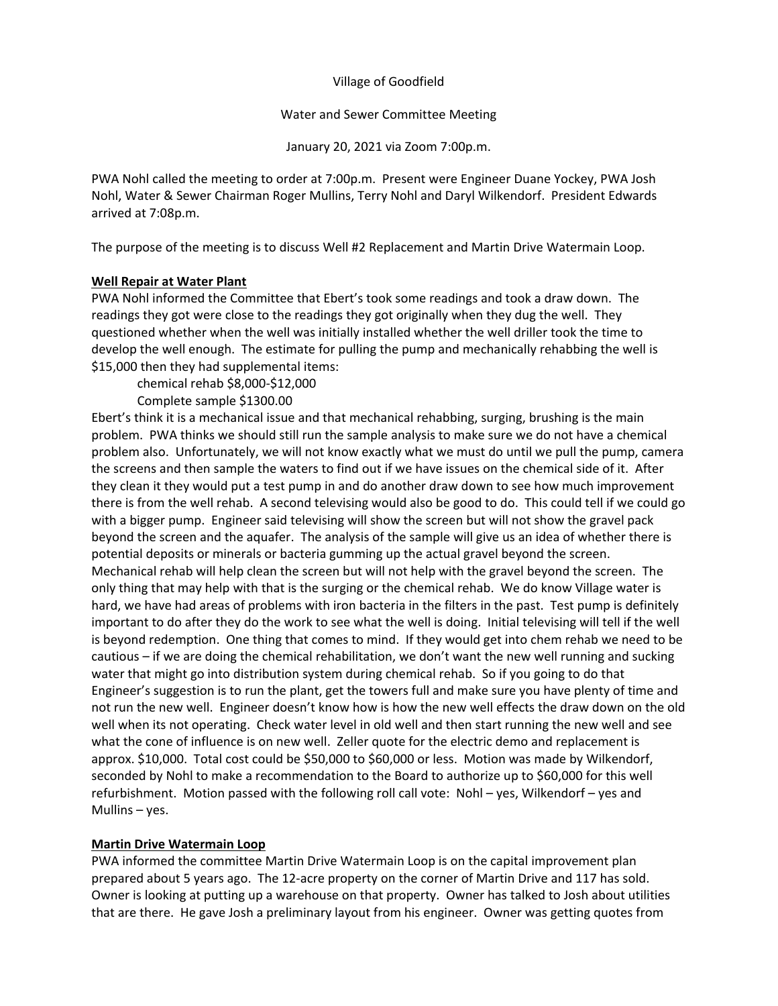Village of Goodfield

Water and Sewer Committee Meeting

January 20, 2021 via Zoom 7:00p.m.

PWA Nohl called the meeting to order at 7:00p.m. Present were Engineer Duane Yockey, PWA Josh Nohl, Water & Sewer Chairman Roger Mullins, Terry Nohl and Daryl Wilkendorf. President Edwards arrived at 7:08p.m.

The purpose of the meeting is to discuss Well #2 Replacement and Martin Drive Watermain Loop.

## **Well Repair at Water Plant**

PWA Nohl informed the Committee that Ebert's took some readings and took a draw down. The readings they got were close to the readings they got originally when they dug the well. They questioned whether when the well was initially installed whether the well driller took the time to develop the well enough. The estimate for pulling the pump and mechanically rehabbing the well is \$15,000 then they had supplemental items:

chemical rehab \$8,000-\$12,000

Complete sample \$1300.00

Ebert's think it is a mechanical issue and that mechanical rehabbing, surging, brushing is the main problem. PWA thinks we should still run the sample analysis to make sure we do not have a chemical problem also. Unfortunately, we will not know exactly what we must do until we pull the pump, camera the screens and then sample the waters to find out if we have issues on the chemical side of it. After they clean it they would put a test pump in and do another draw down to see how much improvement there is from the well rehab. A second televising would also be good to do. This could tell if we could go with a bigger pump. Engineer said televising will show the screen but will not show the gravel pack beyond the screen and the aquafer. The analysis of the sample will give us an idea of whether there is potential deposits or minerals or bacteria gumming up the actual gravel beyond the screen. Mechanical rehab will help clean the screen but will not help with the gravel beyond the screen. The only thing that may help with that is the surging or the chemical rehab. We do know Village water is hard, we have had areas of problems with iron bacteria in the filters in the past. Test pump is definitely important to do after they do the work to see what the well is doing. Initial televising will tell if the well is beyond redemption. One thing that comes to mind. If they would get into chem rehab we need to be cautious – if we are doing the chemical rehabilitation, we don't want the new well running and sucking water that might go into distribution system during chemical rehab. So if you going to do that Engineer's suggestion is to run the plant, get the towers full and make sure you have plenty of time and not run the new well. Engineer doesn't know how is how the new well effects the draw down on the old well when its not operating. Check water level in old well and then start running the new well and see what the cone of influence is on new well. Zeller quote for the electric demo and replacement is approx. \$10,000. Total cost could be \$50,000 to \$60,000 or less. Motion was made by Wilkendorf, seconded by Nohl to make a recommendation to the Board to authorize up to \$60,000 for this well refurbishment. Motion passed with the following roll call vote: Nohl – yes, Wilkendorf – yes and Mullins – yes.

## **Martin Drive Watermain Loop**

PWA informed the committee Martin Drive Watermain Loop is on the capital improvement plan prepared about 5 years ago. The 12-acre property on the corner of Martin Drive and 117 has sold. Owner is looking at putting up a warehouse on that property. Owner has talked to Josh about utilities that are there. He gave Josh a preliminary layout from his engineer. Owner was getting quotes from